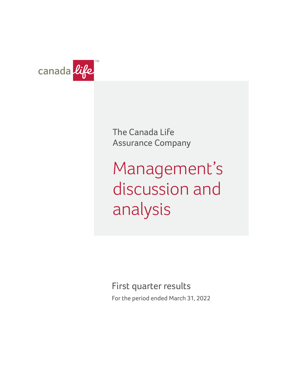

The Canada Life Assurance Company

Management's discussion and analysis

First quarter results

For the period ended March 31, 2022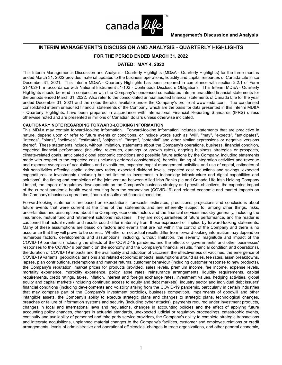

**INTERIM MANAGEMENT'S DISCUSSION AND ANALYSIS - QUARTERLY HIGHLIGHTS** 

## **FOR THE PERIOD ENDED MARCH 31, 2022**

#### **DATED: MAY 4, 2022**

This Interim Management's Discussion and Analysis - Quarterly Highlights (MD&A - Quarterly Highlights) for the three months ended March 31, 2022 provides material updates to the business operations, liquidity and capital resources of Canada Life since December 31, 2021. This Interim MD&A - Quarterly Highlights has been prepared in compliance with section 2.2.1 of Form 51-102F1, in accordance with National Instrument 51-102 - Continuous Disclosure Obligations. This Interim MD&A - Quarterly Highlights should be read in conjunction with the Company's condensed consolidated interim unaudited financial statements for the periods ended March 31, 2022. Also refer to the consolidated annual audited financial statements of Canada Life for the year ended December 31, 2021 and the notes thereto, available under the Company's profile at www.sedar.com. The condensed consolidated interim unaudited financial statements of the Company, which are the basis for data presented in this Interim MD&A - Quarterly Highlights, have been prepared in accordance with International Financial Reporting Standards (IFRS) unless otherwise noted and are presented in millions of Canadian dollars unless otherwise indicated.

#### **CAUTIONARY NOTE REGARDING FORWARD-LOOKING INFORMATION**

This MD&A may contain forward-looking information. Forward-looking information includes statements that are predictive in nature, depend upon or refer to future events or conditions, or include words such as "will", "may", "expects", "anticipates", "intends", "plans", "believes", "estimates", "objective", "target", "potential" and other similar expressions or negative versions thereof. These statements include, without limitation, statements about the Company's operations, business, financial condition, expected financial performance (including revenues, earnings or growth rates), ongoing business strategies or prospects, climate-related goals, anticipated global economic conditions and possible future actions by the Company, including statements made with respect to the expected cost (including deferred consideration), benefits, timing of integration activities and revenue and expense synergies of acquisitions and divestitures, expected capital management activities and use of capital, estimates of risk sensitivities affecting capital adequacy ratios, expected dividend levels, expected cost reductions and savings, expected expenditures or investments (including but not limited to investment in technology infrastructure and digital capabilities and solutions), the timing and completion of the joint venture between Allied Irish Banks plc and Canada Life Irish Holding Company Limited, the impact of regulatory developments on the Company's business strategy and growth objectives, the expected impact of the current pandemic health event resulting from the coronavirus (COVID-19) and related economic and market impacts on the Company's business operations, financial results and financial condition.

Forward-looking statements are based on expectations, forecasts, estimates, predictions, projections and conclusions about future events that were current at the time of the statements and are inherently subject to, among other things, risks, uncertainties and assumptions about the Company, economic factors and the financial services industry generally, including the insurance, mutual fund and retirement solutions industries. They are not guarantees of future performance, and the reader is cautioned that actual events and results could differ materially from those expressed or implied by forward-looking statements. Many of these assumptions are based on factors and events that are not within the control of the Company and there is no assurance that they will prove to be correct. Whether or not actual results differ from forward-looking information may depend on numerous factors, developments and assumptions, including, without limitation, the severity, magnitude and impact of the COVID-19 pandemic (including the effects of the COVID-19 pandemic and the effects of governments' and other businesses' responses to the COVID-19 pandemic on the economy and the Company's financial results, financial condition and operations), the duration of COVID-19 impacts and the availability and adoption of vaccines, the effectiveness of vaccines, the emergence of COVID-19 variants, geopolitical tensions and related economic impacts, assumptions around sales, fee rates, asset breakdowns, lapses, plan contributions, redemptions and market returns, customer behaviour (including customer response to new products), the Company's reputation, market prices for products provided, sales levels, premium income, fee income, expense levels, mortality experience, morbidity experience, policy lapse rates, reinsurance arrangements, liquidity requirements, capital requirements, credit ratings, taxes, inflation, interest and foreign exchange rates, investment values, hedging activities, global equity and capital markets (including continued access to equity and debt markets), industry sector and individual debt issuers' financial conditions (including developments and volatility arising from the COVID-19 pandemic, particularly in certain industries that may comprise part of the Company's investment portfolio), business competition, impairments of goodwill and other intangible assets, the Company's ability to execute strategic plans and changes to strategic plans, technological changes, breaches or failure of information systems and security (including cyber attacks), payments required under investment products, changes in local and international laws and regulations, changes in accounting policies and the effect of applying future accounting policy changes, changes in actuarial standards, unexpected judicial or regulatory proceedings, catastrophic events, continuity and availability of personnel and third party service providers, the Company's ability to complete strategic transactions and integrate acquisitions, unplanned material changes to the Company's facilities, customer and employee relations or credit arrangements, levels of administrative and operational efficiencies, changes in trade organizations, and other general economic,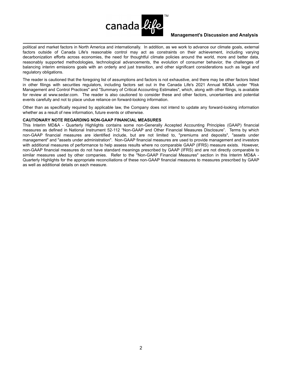

political and market factors in North America and internationally. In addition, as we work to advance our climate goals, external factors outside of Canada Life's reasonable control may act as constraints on their achievement, including varying decarbonization efforts across economies, the need for thoughtful climate policies around the world, more and better data, reasonably supported methodologies, technological advancements, the evolution of consumer behavior, the challenges of balancing interim emissions goals with an orderly and just transition, and other significant considerations such as legal and regulatory obligations.

The reader is cautioned that the foregoing list of assumptions and factors is not exhaustive, and there may be other factors listed in other filings with securities regulators, including factors set out in the Canada Life's 2021 Annual MD&A under "Risk Management and Control Practices" and "Summary of Critical Accounting Estimates", which, along with other filings, is available for review at www.sedar.com. The reader is also cautioned to consider these and other factors, uncertainties and potential events carefully and not to place undue reliance on forward-looking information.

Other than as specifically required by applicable law, the Company does not intend to update any forward-looking information whether as a result of new information, future events or otherwise.

#### **CAUTIONARY NOTE REGARDING NON-GAAP FINANCIAL MEASURES**

This Interim MD&A - Quarterly Highlights contains some non-Generally Accepted Accounting Principles (GAAP) financial measures as defined in National Instrument 52-112 "Non-GAAP and Other Financial Measures Disclosure". Terms by which non-GAAP financial measures are identified include, but are not limited to, "premiums and deposits", "assets under management" and "assets under administration". Non-GAAP financial measures are used to provide management and investors with additional measures of performance to help assess results where no comparable GAAP (IFRS) measure exists. However, non-GAAP financial measures do not have standard meanings prescribed by GAAP (IFRS) and are not directly comparable to similar measures used by other companies. Refer to the "Non-GAAP Financial Measures" section in this Interim MD&A - Quarterly Highlights for the appropriate reconciliations of these non-GAAP financial measures to measures prescribed by GAAP as well as additional details on each measure.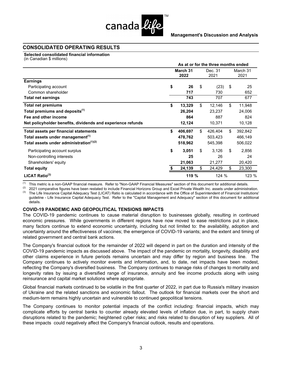

## **CONSOLIDATED OPERATING RESULTS**

**Selected consolidated financial information** 

(in Canadian \$ millions)

|                                                             | As at or for the three months ended |                  |    |                 |    |                  |  |  |
|-------------------------------------------------------------|-------------------------------------|------------------|----|-----------------|----|------------------|--|--|
|                                                             |                                     | March 31<br>2022 |    | Dec. 31<br>2021 |    | March 31<br>2021 |  |  |
| <b>Earnings</b>                                             |                                     |                  |    |                 |    |                  |  |  |
| Participating account                                       | \$                                  | 26               | \$ | (23)            | \$ | 25               |  |  |
| Common shareholder                                          |                                     | 717              |    | 730             |    | 652              |  |  |
| <b>Total net earnings</b>                                   |                                     | 743              |    | 707             |    | 677              |  |  |
| <b>Total net premiums</b>                                   | \$                                  | 13,329           | \$ | 12,146          | \$ | 11,948           |  |  |
| Total premiums and deposits <sup>(1)</sup>                  |                                     | 26,204           |    | 23,237          |    | 24,006           |  |  |
| Fee and other income                                        |                                     | 864              |    | 887             |    | 824              |  |  |
| Net policyholder benefits, dividends and experience refunds |                                     | 12,124           |    | 10,371          |    | 10,128           |  |  |
| Total assets per financial statements                       | \$                                  | 406,697          | \$ | 426,404         | \$ | 392,842          |  |  |
| Total assets under management <sup>(1)</sup>                |                                     | 478,762          |    | 503,423         |    | 466,149          |  |  |
| Total assets under administration <sup>(1)(2)</sup>         |                                     | 518,962          |    | 545,398         |    | 506,022          |  |  |
| Participating account surplus                               | \$                                  | 3,051            | \$ | 3,126           | \$ | 2,856            |  |  |
| Non-controlling interests                                   |                                     | 25               |    | 26              |    | 24               |  |  |
| Shareholders' equity                                        |                                     | 21,063           |    | 21,277          |    | 20,420           |  |  |
| <b>Total equity</b>                                         |                                     | 24,139           | \$ | 24,429          | \$ | 23,300           |  |  |
| <b>LICAT Ratio</b> $^{(3)}$                                 |                                     | 119 %            |    | 124 %           |    | 123 %            |  |  |

(1) This metric is a non-GAAP financial measure. Refer to "Non-GAAP Financial Measures" section of this document for additional details.<br>(2) 2021 comparative figures hove been restated to include Financial Herizone Croup

(2) 2021 comparative figures have been restated to include Financial Horizons Group and Excel Private Wealth Inc. assets under administration. (3) The Life Insurance Capital Adequacy Test (LICAT) Ratio is calculated in accordance with the Office of Superintendent of Financial Institutions' guideline - Life Insurance Capital Adequacy Test. Refer to the "Capital Management and Adequacy" section of this document for additional details.

#### **COVID-19 PANDEMIC AND GEOPOLITICAL TENSIONS IMPACTS**

The COVID-19 pandemic continues to cause material disruption to businesses globally, resulting in continued economic pressures. While governments in different regions have now moved to ease restrictions put in place, many factors continue to extend economic uncertainty, including but not limited to: the availability, adoption and uncertainty around the effectiveness of vaccines; the emergence of COVID-19 variants; and the extent and timing of related government and central bank actions.

The Company's financial outlook for the remainder of 2022 will depend in part on the duration and intensity of the COVID-19 pandemic impacts as discussed above. The impact of the pandemic on mortality, longevity, disability and other claims experience in future periods remains uncertain and may differ by region and business line. The Company continues to actively monitor events and information, and, to date, net impacts have been modest, reflecting the Company's diversified business. The Company continues to manage risks of changes to mortality and longevity rates by issuing a diversified range of insurance, annuity and fee income products along with using reinsurance and capital market solutions where appropriate.

Global financial markets continued to be volatile in the first quarter of 2022, in part due to Russia's military invasion of Ukraine and the related sanctions and economic fallout. The outlook for financial markets over the short and medium-term remains highly uncertain and vulnerable to continued geopolitical tensions.

The Company continues to monitor potential impacts of the conflict including: financial impacts, which may complicate efforts by central banks to counter already elevated levels of inflation due, in part, to supply chain disruptions related to the pandemic; heightened cyber risks; and risks related to disruption of key suppliers. All of these impacts could negatively affect the Company's financial outlook, results and operations.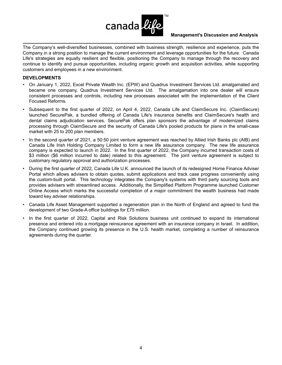

The Company's well-diversified businesses, combined with business strength, resilience and experience, puts the Company in a strong position to manage the current environment and leverage opportunities for the future. Canada Life's strategies are equally resilient and flexible, positioning the Company to manage through the recovery and continue to identify and pursue opportunities, including organic growth and acquisition activities, while supporting customers and employees in a new environment.

## **DEVELOPMENTS**

- On January 1, 2022, Excel Private Wealth Inc. (EPW) and Quadrus Investment Services Ltd. amalgamated and became one company, Quadrus Investment Services Ltd. The amalgamation into one dealer will ensure consistent processes and controls, including new processes associated with the implementation of the Client Focused Reforms.
- Subsequent to the first quarter of 2022, on April 4, 2022, Canada Life and ClaimSecure Inc. (ClaimSecure) launched SecurePak, a bundled offering of Canada Life's insurance benefits and ClaimSecure's health and dental claims adjudication services. SecurePak offers plan sponsors the advantage of modernized claims processing through ClaimSecure and the security of Canada Life's pooled products for plans in the small-case market with 25 to 200 plan members.
- In the second quarter of 2021, a 50:50 joint venture agreement was reached by Allied Irish Banks plc (AIB) and Canada Life Irish Holding Company Limited to form a new life assurance company. The new life assurance company is expected to launch in 2022. In the first quarter of 2022, the Company incurred transaction costs of \$3 million (\$6 million incurred to date) related to this agreement. The joint venture agreement is subject to customary regulatory approval and authorization processes.
- During the first quarter of 2022, Canada Life U.K. announced the launch of its redesigned Home Finance Adviser Portal which allows advisers to obtain quotes, submit applications and track case progress conveniently using the custom-built portal. This technology integrates the Company's systems with third party sourcing tools and provides advisers with streamlined access. Additionally, the Simplified Platform Programme launched Customer Online Access which marks the successful completion of a major commitment the wealth business had made toward key adviser relationships.
- Canada Life Asset Management supported a regeneration plan in the North of England and agreed to fund the development of two Grade-A office buildings for £75 million.
- In the first quarter of 2022, Capital and Risk Solutions business unit continued to expand its international presence and entered into a mortgage reinsurance agreement with an insurance company in Israel. In addition, the Company continued growing its presence in the U.S. health market, completing a number of reinsurance agreements during the quarter.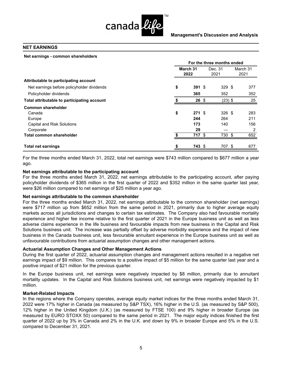

#### **NET EARNINGS**

| Net earnings - common shareholders          |                  |                            |                 |           |                  |     |  |  |  |
|---------------------------------------------|------------------|----------------------------|-----------------|-----------|------------------|-----|--|--|--|
|                                             |                  | For the three months ended |                 |           |                  |     |  |  |  |
|                                             | March 31<br>2022 |                            | Dec. 31<br>2021 |           | March 31<br>2021 |     |  |  |  |
| Attributable to participating account       |                  |                            |                 |           |                  |     |  |  |  |
| Net earnings before policyholder dividends  | \$               | $391 \text{ } $5$          |                 | 329S      |                  | 377 |  |  |  |
| Policyholder dividends                      |                  | 365                        |                 | 352       |                  | 352 |  |  |  |
| Total attributable to participating account |                  | $26 \; \text{S}$           |                 | $(23)$ \$ |                  | 25  |  |  |  |
| <b>Common shareholder</b>                   |                  |                            |                 |           |                  |     |  |  |  |
| Canada                                      | \$               | $271 \text{ }$ \$          |                 | $326$ \$  |                  | 283 |  |  |  |
| Europe                                      |                  | 244                        |                 | 264       |                  | 211 |  |  |  |
| Capital and Risk Solutions                  |                  | 173                        |                 | 140       |                  | 156 |  |  |  |
| Corporate                                   |                  | 29                         |                 |           |                  | 2   |  |  |  |
| Total common shareholder                    |                  | 717                        | \$              | 730 \$    |                  | 652 |  |  |  |
| <b>Total net earnings</b>                   | \$               | 743 \$                     |                 | 707 \$    |                  | 677 |  |  |  |

For the three months ended March 31, 2022, total net earnings were \$743 million compared to \$677 million a year ago.

#### **Net earnings attributable to the participating account**

For the three months ended March 31, 2022, net earnings attributable to the participating account, after paying policyholder dividends of \$365 million in the first quarter of 2022 and \$352 million in the same quarter last year, were \$26 million compared to net earnings of \$25 million a year ago.

#### **Net earnings attributable to the common shareholder**

For the three months ended March 31, 2022, net earnings attributable to the common shareholder (net earnings) were \$717 million up from \$652 million from the same period in 2021, primarily due to higher average equity markets across all jurisdictions and changes to certain tax estimates. The Company also had favourable mortality experience and higher fee income relative to the first quarter of 2021 in the Europe business unit as well as less adverse claims experience in the life business and favourable impacts from new business in the Capital and Risk Solutions business unit. The increase was partially offset by adverse morbidity experience and the impact of new business in the Canada business unit, less favourable annuitant experience in the Europe business unit as well as unfavourable contributions from actuarial assumption changes and other management actions.

#### **Actuarial Assumption Changes and Other Management Actions**

During the first quarter of 2022, actuarial assumption changes and management actions resulted in a negative net earnings impact of \$9 million. This compares to a positive impact of \$5 million for the same quarter last year and a positive impact of \$21 million for the previous quarter.

In the Europe business unit, net earnings were negatively impacted by \$8 million, primarily due to annuitant mortality updates. In the Capital and Risk Solutions business unit, net earnings were negatively impacted by \$1 million.

#### **Market-Related Impacts**

In the regions where the Company operates, average equity market indices for the three months ended March 31, 2022 were 17% higher in Canada (as measured by S&P TSX), 16% higher in the U.S. (as measured by S&P 500), 12% higher in the United Kingdom (U.K.) (as measured by FTSE 100) and 9% higher in broader Europe (as measured by EURO STOXX 50) compared to the same period in 2021.The major equity indices finished the first quarter of 2022 up by 3% in Canada and 2% in the U.K. and down by 9% in broader Europe and 5% in the U.S. compared to December 31, 2021.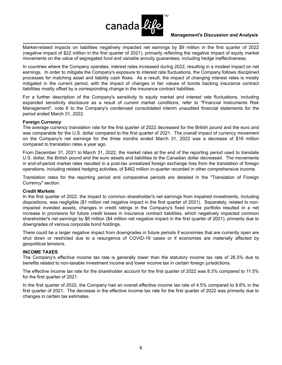

Market-related impacts on liabilities negatively impacted net earnings by \$9 million in the first quarter of 2022 (negative impact of \$22 million in the first quarter of 2021), primarily reflecting the negative impact of equity market movements on the value of segregated fund and variable annuity guarantees, including hedge ineffectiveness.

In countries where the Company operates, interest rates increased during 2022, resulting in a modest impact on net earnings. In order to mitigate the Company's exposure to interest rate fluctuations, the Company follows disciplined processes for matching asset and liability cash flows. As a result, the impact of changing interest rates is mostly mitigated in the current period, with the impact of changes in fair values of bonds backing insurance contract liabilities mostly offset by a corresponding change in the insurance contract liabilities.

For a further description of the Company's sensitivity to equity market and interest rate fluctuations, including expanded sensitivity disclosure as a result of current market conditions, refer to "Financial Instruments Risk Management", note 6 to the Company's condensed consolidated interim unaudited financial statements for the period ended March 31, 2022.

#### **Foreign Currency**

The average currency translation rate for the first quarter of 2022 decreased for the British pound and the euro and was comparable for the U.S. dollar compared to the first quarter of 2021. The overall impact of currency movement on the Company's net earnings for the three months ended March 31, 2022 was a decrease of \$16 million compared to translation rates a year ago.

From December 31, 2021 to March 31, 2022, the market rates at the end of the reporting period used to translate U.S. dollar, the British pound and the euro assets and liabilities to the Canadian dollar decreased. The movements in end-of-period market rates resulted in a post-tax unrealized foreign exchange loss from the translation of foreign operations, including related hedging activities, of \$462 million in-quarter recorded in other comprehensive income.

Translation rates for the reporting period and comparative periods are detailed in the "Translation of Foreign Currency" section.

#### **Credit Markets**

In the first quarter of 2022, the impact to common shareholder's net earnings from impaired investments, including dispositions, was negligible (\$1 million net negative impact in the first quarter of 2021). Separately, related to nonimpaired invested assets, changes in credit ratings in the Company's fixed income portfolio resulted in a net increase in provisions for future credit losses in insurance contract liabilities, which negatively impacted common shareholder's net earnings by \$6 million (\$4 million net negative impact in the first quarter of 2021), primarily due to downgrades of various corporate bond holdings.

There could be a larger negative impact from downgrades in future periods if economies that are currently open are shut down or restricted due to a resurgence of COVID-19 cases or if economies are materially affected by geopolitical tensions.

## **INCOME TAXES**

The Company's effective income tax rate is generally lower than the statutory income tax rate of 26.5% due to benefits related to non-taxable investment income and lower income tax in certain foreign jurisdictions.

The effective income tax rate for the shareholder account for the first quarter of 2022 was 8.3% compared to 11.5% for the first quarter of 2021.

In the first quarter of 2022, the Company had an overall effective income tax rate of 4.5% compared to 8.6% in the first quarter of 2021. The decrease in the effective income tax rate for the first quarter of 2022 was primarily due to changes in certain tax estimates.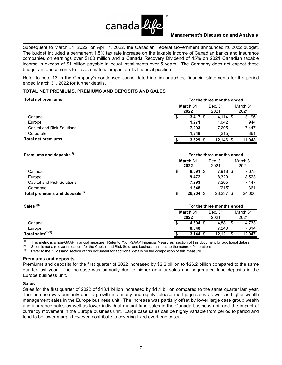

Subsequent to March 31, 2022, on April 7, 2022, the Canadian Federal Government announced its 2022 budget. The budget included a permanent 1.5% tax rate increase on the taxable income of Canadian banks and insurance companies on earnings over \$100 million and a Canada Recovery Dividend of 15% on 2021 Canadian taxable income in excess of \$1 billion payable in equal installments over 5 years. The Company does not expect these budget announcements to have a material impact on its financial position.

Refer to note 13 to the Company's condensed consolidated interim unaudited financial statements for the period ended March 31, 2022 for further details.

#### **TOTAL NET PREMIUMS, PREMIUMS AND DEPOSITS AND SALES**

| Total net premiums                | For the three months ended |                 |                  |  |  |  |
|-----------------------------------|----------------------------|-----------------|------------------|--|--|--|
|                                   | March 31<br>2022           | Dec. 31<br>2021 | March 31<br>2021 |  |  |  |
| Canada                            | $3.417$ \$<br>S            | 4,114 \$        | 3.196            |  |  |  |
| Europe                            | 1.271                      | 1.042           | 944              |  |  |  |
| <b>Capital and Risk Solutions</b> | 7.293                      | 7.205           | 7,447            |  |  |  |
| Corporate                         | 1.348                      | (215)           | 361              |  |  |  |
| <b>Total net premiums</b>         | $13,329$ \$                | 12,146 \$       | 11,948           |  |  |  |

| Premiums and deposits <sup>(1)</sup>       | For the three months ended |            |       |            |          |  |
|--------------------------------------------|----------------------------|------------|-------|------------|----------|--|
|                                            | March 31                   |            |       | Dec. 31    | March 31 |  |
|                                            |                            | 2022       |       | 2021       | 2021     |  |
| Canada                                     |                            | $8.091$ \$ |       | $7.918$ \$ | 7,675    |  |
| Europe                                     |                            | 9.472      |       | 8.329      | 8.523    |  |
| Capital and Risk Solutions                 |                            | 7.293      |       | 7.205      | 7,447    |  |
| Corporate                                  | 1.348                      |            | (215) |            | 361      |  |
| Total premiums and deposits <sup>(1)</sup> |                            | 26.204 \$  |       | 23,237 \$  | 24,006   |  |

| Sales $(2)(3)$          |                  | For the three months ended |  |                 |  |                  |  |
|-------------------------|------------------|----------------------------|--|-----------------|--|------------------|--|
|                         | March 31<br>2022 |                            |  | Dec. 31<br>2021 |  | March 31<br>2021 |  |
| Canada                  |                  | 4,304 $$$                  |  | 4,881           |  | 4,733            |  |
| Europe                  |                  | 8.840                      |  | 7.240           |  | 7,314            |  |
| Total sales $^{(2)(3)}$ |                  | 13.144                     |  | 12,121          |  | 12,047           |  |

(1) This metric is a non-GAAP financial measure. Refer to "Non-GAAP Financial Measures" section of this document for additional details.

(2) Sales is not a relevant measure for the Capital and Risk Solutions business unit due to the nature of operations.<br>(3) Befer to the "Glossary" section of this document for additional details on the composition of this

Refer to the "Glossary" section of this document for additional details on the composition of this measure.

#### **Premiums and deposits**

Premiums and deposits for the first quarter of 2022 increased by \$2.2 billion to \$26.2 billion compared to the same quarter last year. The increase was primarily due to higher annuity sales and segregated fund deposits in the Europe business unit.

#### **Sales**

Sales for the first quarter of 2022 of \$13.1 billion increased by \$1.1 billion compared to the same quarter last year. The increase was primarily due to growth in annuity and equity release mortgage sales as well as higher wealth management sales in the Europe business unit. The increase was partially offset by lower large case group wealth and insurance sales as well as lower individual mutual fund sales in the Canada business unit and the impact of currency movement in the Europe business unit. Large case sales can be highly variable from period to period and tend to be lower margin however, contribute to covering fixed overhead costs.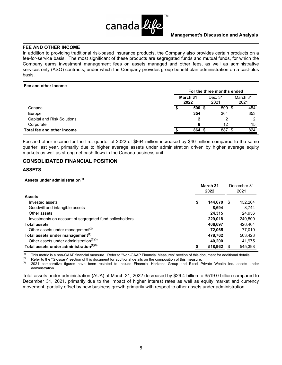

## **FEE AND OTHER INCOME**

In addition to providing traditional risk-based insurance products, the Company also provides certain products on a fee-for-service basis. The most significant of these products are segregated funds and mutual funds, for which the Company earns investment management fees on assets managed and other fees, as well as administrative services only (ASO) contracts, under which the Company provides group benefit plan administration on a cost-plus basis.

#### **Fee and other income**

|                            |                   | For the three months ended |                 |  |                  |  |  |  |
|----------------------------|-------------------|----------------------------|-----------------|--|------------------|--|--|--|
|                            | March 31<br>2022  |                            | Dec. 31<br>2021 |  | March 31<br>2021 |  |  |  |
| Canada                     | $500 \text{ }$ \$ |                            | $509$ \$        |  | 454              |  |  |  |
| Europe                     | 354               |                            | 364             |  | 353              |  |  |  |
| Capital and Risk Solutions | 2                 |                            |                 |  | າ                |  |  |  |
| Corporate                  | 8                 |                            | 12              |  | 15               |  |  |  |
| Total fee and other income | 864 \$            |                            | 887             |  | 824              |  |  |  |

Fee and other income for the first quarter of 2022 of \$864 million increased by \$40 million compared to the same quarter last year, primarily due to higher average assets under administration driven by higher average equity markets as well as strong net cash flows in the Canada business unit.

## **CONSOLIDATED FINANCIAL POSITION**

## **ASSETS**

| Assets under administration <sup>(1)</sup>                       |               |    |             |
|------------------------------------------------------------------|---------------|----|-------------|
|                                                                  | March 31      |    | December 31 |
|                                                                  | 2022          |    | 2021        |
| <b>Assets</b>                                                    |               |    |             |
| Invested assets                                                  | \$<br>144.670 | -S | 152,204     |
| Goodwill and intangible assets                                   | 8.694         |    | 8.744       |
| Other assets                                                     | 24,315        |    | 24,956      |
| Investments on account of segregated fund policyholders          | 229,018       |    | 240,500     |
| <b>Total assets</b>                                              | 406.697       |    | 426.404     |
| Other assets under management <sup>(2)</sup>                     | 72,065        |    | 77,019      |
| Total assets under management <sup>(1)</sup>                     | 478,762       |    | 503,423     |
| Other assets under administration <sup><math>(2)(3)</math></sup> | 40,200        |    | 41,975      |
| Total assets under administration <sup>(1)(3)</sup>              | 518,962       |    | 545,398     |

(1) This metric is a non-GAAP financial measure. Refer to "Non-GAAP Financial Measures" section of this document for additional details.

(2) Refer to the "Glossary" section of this document for additional details on the composition of this measure.<br>(3) 2021, compositive figures, boye, bogg, restated to include Financial Herizone Croup, and Excel E

(3) 2021 comparative figures have been restated to include Financial Horizons Group and Excel Private Wealth Inc. assets under administration.

Total assets under administration (AUA) at March 31, 2022 decreased by \$26.4 billion to \$519.0 billion compared to December 31, 2021, primarily due to the impact of higher interest rates as well as equity market and currency movement, partially offset by new business growth primarily with respect to other assets under administration.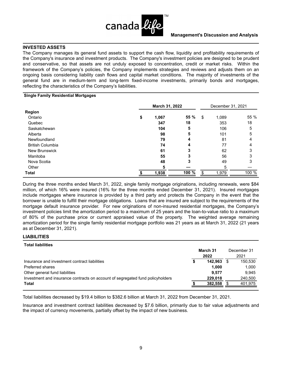

December 31 2021

## **INVESTED ASSETS**

The Company manages its general fund assets to support the cash flow, liquidity and profitability requirements of the Company's insurance and investment products. The Company's investment policies are designed to be prudent and conservative, so that assets are not unduly exposed to concentration, credit or market risks. Within the framework of the Company's policies, the Company implements strategies and reviews and adjusts them on an ongoing basis considering liability cash flows and capital market conditions. The majority of investments of the general fund are in medium-term and long-term fixed-income investments, primarily bonds and mortgages, reflecting the characteristics of the Company's liabilities.

#### **Single Family Residential Mortgages**

|                         | March 31, 2022 |      |    | December 31, 2021 |      |  |  |
|-------------------------|----------------|------|----|-------------------|------|--|--|
| Region                  |                |      |    |                   |      |  |  |
| Ontario                 | \$<br>1,067    | 55 % | \$ | 1,089             | 55 % |  |  |
| Quebec                  | 347            | 18   |    | 353               | 18   |  |  |
| Saskatchewan            | 104            | 5    |    | 106               | 5    |  |  |
| Alberta                 | 98             | 5    |    | 101               | 5    |  |  |
| Newfoundland            | 79             | 4    |    | 81                | 4    |  |  |
| <b>British Columbia</b> | 74             | 4    |    | 77                | 4    |  |  |
| New Brunswick           | 61             | 3    |    | 62                | 3    |  |  |
| Manitoba                | 55             | 3    |    | 56                | 3    |  |  |
| Nova Scotia             | 48             | 3    |    | 49                | 3    |  |  |
| Other                   | 5              |      |    | 5                 |      |  |  |
| <b>Total</b>            | 1,938          | 100% |    | 1,979             | 100% |  |  |

During the three months ended March 31, 2022, single family mortgage originations, including renewals, were \$84 million, of which 16% were insured (16% for the three months ended December 31, 2021). Insured mortgages include mortgages where insurance is provided by a third party and protects the Company in the event that the borrower is unable to fulfill their mortgage obligations. Loans that are insured are subject to the requirements of the mortgage default insurance provider. For new originations of non-insured residential mortgages, the Company's investment policies limit the amortization period to a maximum of 25 years and the loan-to-value ratio to a maximum of 80% of the purchase price or current appraised value of the property. The weighted average remaining amortization period for the single family residential mortgage portfolio was 21 years as at March 31, 2022 (21 years as at December 31, 2021).

#### **LIABILITIES**

## **Total liabilities March 31 2022**  Insurance and investment contract liabilities **\$ 142,963** \$ 150,530 Preferred shares **1,000** 1,000 Other general fund liabilities **9,577** 9,945 Investment and insurance contracts on account of segregated fund policyholders **229,018** 240,500 **Total \$ 382,558** \$ 401,975

Total liabilities decreased by \$19.4 billion to \$382.6 billion at March 31, 2022 from December 31, 2021.

Insurance and investment contract liabilities decreased by \$7.6 billion, primarily due to fair value adjustments and the impact of currency movements, partially offset by the impact of new business.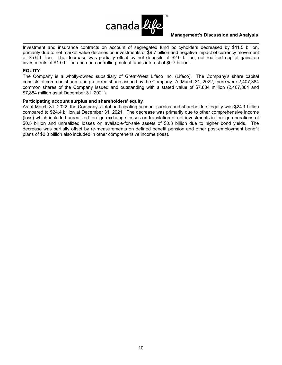

Investment and insurance contracts on account of segregated fund policyholders decreased by \$11.5 billion, primarily due to net market value declines on investments of \$9.7 billion and negative impact of currency movement of \$5.6 billion. The decrease was partially offset by net deposits of \$2.0 billion, net realized capital gains on investments of \$1.0 billion and non-controlling mutual funds interest of \$0.7 billion.

#### **EQUITY**

The Company is a wholly-owned subsidiary of Great-West Lifeco Inc. (Lifeco). The Company's share capital consists of common shares and preferred shares issued by the Company. At March 31, 2022, there were 2,407,384 common shares of the Company issued and outstanding with a stated value of \$7,884 million (2,407,384 and \$7,884 million as at December 31, 2021).

#### **Participating account surplus and shareholders' equity**

As at March 31, 2022, the Company's total participating account surplus and shareholders' equity was \$24.1 billion compared to \$24.4 billion at December 31, 2021. The decrease was primarily due to other comprehensive income (loss) which included unrealized foreign exchange losses on translation of net investments in foreign operations of \$0.5 billion and unrealized losses on available-for-sale assets of \$0.3 billion due to higher bond yields. The decrease was partially offset by re-measurements on defined benefit pension and other post-employment benefit plans of \$0.3 billion also included in other comprehensive income (loss).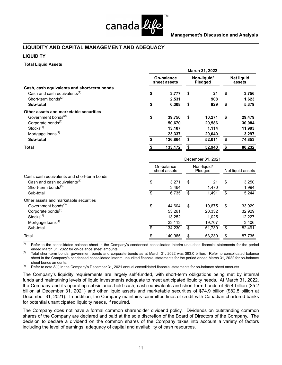

## **LIQUIDITY AND CAPITAL MANAGEMENT AND ADEQUACY**

## **LIQUIDITY**

#### **Total Liquid Assets**

|                                             | March 31, 2022 |                            |    |                        |    |                             |  |
|---------------------------------------------|----------------|----------------------------|----|------------------------|----|-----------------------------|--|
|                                             |                | On-balance<br>sheet assets |    | Non-liquid/<br>Pledged |    | <b>Net liquid</b><br>assets |  |
| Cash, cash equivalents and short-term bonds |                |                            |    |                        |    |                             |  |
| Cash and cash equivalents <sup>(1)</sup>    | \$             | 3,777                      | \$ | 21                     | \$ | 3,756                       |  |
| Short-term bonds $^{(2)}$                   |                | 2,531                      |    | 908                    |    | 1,623                       |  |
| Sub-total                                   | \$             | 6,308                      | \$ | 929                    | \$ | 5,379                       |  |
| Other assets and marketable securities      |                |                            |    |                        |    |                             |  |
| Government bonds <sup>(2)</sup>             | \$             | 39,750                     | \$ | 10,271                 | \$ | 29,479                      |  |
| Corporate bonds <sup>(2)</sup>              |                | 50,670                     |    | 20,586                 |    | 30,084                      |  |
| Stocks <sup>(1)</sup>                       |                | 13,107                     |    | 1,114                  |    | 11,993                      |  |
| Mortgage loans <sup>(1)</sup>               |                | 23,337                     |    | 20,040                 |    | 3,297                       |  |
| Sub-total                                   | \$             | 126,864                    | \$ | 52,011                 | \$ | 74,853                      |  |
| Total                                       |                | 133,172                    |    | 52,940                 |    | 80,232                      |  |
|                                             |                |                            |    | December 31, 2021      |    |                             |  |
|                                             |                | On-balance                 |    | Non-liquid/            |    |                             |  |

|                                             |    | On-balance<br>Non-liquid/<br>Pledged<br>sheet assets |    |        |    | Net liquid assets |
|---------------------------------------------|----|------------------------------------------------------|----|--------|----|-------------------|
| Cash, cash equivalents and short-term bonds |    |                                                      |    |        |    |                   |
| Cash and cash equivalents <sup>(1)</sup>    | \$ | 3.271                                                | \$ | 21     | \$ | 3,250             |
| Short-term bonds <sup>(3)</sup>             |    | 3.464                                                |    | 1,470  |    | 1,994             |
| Sub-total                                   | S  | 6.735                                                | \$ | 1.491  | \$ | 5,244             |
| Other assets and marketable securities      |    |                                                      |    |        |    |                   |
| Government bonds <sup>(3)</sup>             | \$ | 44.604                                               | \$ | 10.675 | \$ | 33,929            |
| Corporate bonds <sup>(3)</sup>              |    | 53.261                                               |    | 20.332 |    | 32,929            |
| $Stocks^{(1)}$                              |    | 13.252                                               |    | 1.025  |    | 12,227            |
| Mortgage loans <sup>(1)</sup>               |    | 23.113                                               |    | 19.707 |    | 3,406             |
| Sub-total                                   | \$ | 134.230                                              | \$ | 51.739 | \$ | 82.491            |
| Total                                       |    | 140.965                                              |    | 53.230 |    | 87.735            |

 $\overline{p}$  Refer to the consolidated balance sheet in the Company's condensed consolidated interim unaudited financial statements for the period ended March 31, 2022 for on-balance sheet amounts.

<sup>(2)</sup> Total short-term bonds, government bonds and corporate bonds as at March 31, 2022 was \$93.0 billion. Refer to consolidated balance sheet in the Company's condensed consolidated interim unaudited financial statements for the period ended March 31, 2022 for on-balance sheet bonds amounts.

 $^{(3)}$  Refer to note 8(ii) in the Company's December 31, 2021 annual consolidated financial statements for on-balance sheet amounts.

The Company's liquidity requirements are largely self-funded, with short-term obligations being met by internal funds and maintaining levels of liquid investments adequate to meet anticipated liquidity needs. At March 31, 2022, the Company and its operating subsidiaries held cash, cash equivalents and short-term bonds of \$5.4 billion (\$5.2 billion at December 31, 2021) and other liquid assets and marketable securities of \$74.9 billion (\$82.5 billion at December 31, 2021). In addition, the Company maintains committed lines of credit with Canadian chartered banks for potential unanticipated liquidity needs, if required.

The Company does not have a formal common shareholder dividend policy. Dividends on outstanding common shares of the Company are declared and paid at the sole discretion of the Board of Directors of the Company. The decision to declare a dividend on the common shares of the Company takes into account a variety of factors including the level of earnings, adequacy of capital and availability of cash resources.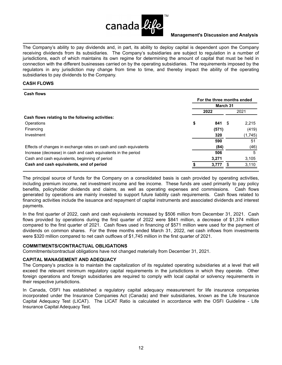

The Company's ability to pay dividends and, in part, its ability to deploy capital is dependent upon the Company receiving dividends from its subsidiaries. The Company's subsidiaries are subject to regulation in a number of jurisdictions, each of which maintains its own regime for determining the amount of capital that must be held in connection with the different businesses carried on by the operating subsidiaries. The requirements imposed by the regulators in any jurisdiction may change from time to time, and thereby impact the ability of the operating subsidiaries to pay dividends to the Company.

## **CASH FLOWS**

| <b>Cash flows</b>                                                 |                            |          |             |  |  |
|-------------------------------------------------------------------|----------------------------|----------|-------------|--|--|
|                                                                   | For the three months ended |          |             |  |  |
|                                                                   |                            | March 31 |             |  |  |
|                                                                   |                            | 2022     | 2021        |  |  |
| Cash flows relating to the following activities:                  |                            |          |             |  |  |
| Operations                                                        | \$                         | 841      | 2,215<br>-S |  |  |
| Financing                                                         |                            | (571)    | (419)       |  |  |
| Investment                                                        |                            | 320      | (1,745)     |  |  |
|                                                                   |                            | 590      | 51          |  |  |
| Effects of changes in exchange rates on cash and cash equivalents |                            | (84)     | (46)        |  |  |
| Increase (decrease) in cash and cash equivalents in the period    |                            | 506      | 5           |  |  |
| Cash and cash equivalents, beginning of period                    |                            | 3,271    | 3,105       |  |  |
| Cash and cash equivalents, end of period                          |                            | 3.777    | 3,110       |  |  |
|                                                                   |                            |          |             |  |  |

The principal source of funds for the Company on a consolidated basis is cash provided by operating activities, including premium income, net investment income and fee income. These funds are used primarily to pay policy benefits, policyholder dividends and claims, as well as operating expenses and commissions. Cash flows generated by operations are mainly invested to support future liability cash requirements. Cash flows related to financing activities include the issuance and repayment of capital instruments and associated dividends and interest payments.

In the first quarter of 2022, cash and cash equivalents increased by \$506 million from December 31, 2021. Cash flows provided by operations during the first quarter of 2022 were \$841 million, a decrease of \$1,374 million compared to the first quarter of 2021. Cash flows used in financing of \$571 million were used for the payment of dividends on common shares. For the three months ended March 31, 2022, net cash inflows from investments were \$320 million compared to net cash outflows of \$1,745 million in the first quarter of 2021.

#### **COMMITMENTS/CONTRACTUAL OBLIGATIONS**

Commitments/contractual obligations have not changed materially from December 31, 2021.

#### **CAPITAL MANAGEMENT AND ADEQUACY**

The Company's practice is to maintain the capitalization of its regulated operating subsidiaries at a level that will exceed the relevant minimum regulatory capital requirements in the jurisdictions in which they operate. Other foreign operations and foreign subsidiaries are required to comply with local capital or solvency requirements in their respective jurisdictions.

In Canada, OSFI has established a regulatory capital adequacy measurement for life insurance companies incorporated under the Insurance Companies Act (Canada) and their subsidiaries, known as the Life Insurance Capital Adequacy Test (LICAT). The LICAT Ratio is calculated in accordance with the OSFI Guideline - Life Insurance Capital Adequacy Test.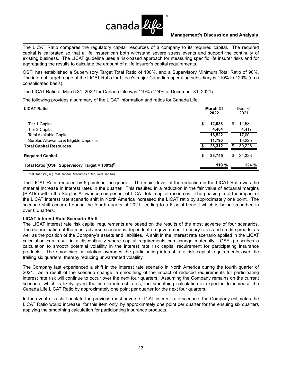

The LICAT Ratio compares the regulatory capital resources of a company to its required capital. The required capital is calibrated so that a life insurer can both withstand severe stress events and support the continuity of existing business. The LICAT guideline uses a risk-based approach for measuring specific life insurer risks and for aggregating the results to calculate the amount of a life insurer's capital requirements.

OSFI has established a Supervisory Target Total Ratio of 100%, and a Supervisory Minimum Total Ratio of 90%. The internal target range of the LICAT Ratio for Lifeco's major Canadian operating subsidiary is 110% to 120% (on a consolidated basis).

The LICAT Ratio at March 31, 2022 for Canada Life was 119% (124% at December 31, 2021).

The following provides a summary of the LICAT information and ratios for Canada Life:

| <b>LICAT Ratio</b>                                                      | March 31<br>2022     | Dec. 31<br>2021       |
|-------------------------------------------------------------------------|----------------------|-----------------------|
| Tier 1 Capital<br>Tier 2 Capital                                        | 12,038<br>S<br>4,484 | \$<br>12,584<br>4,417 |
| <b>Total Available Capital</b><br>Surplus Allowance & Eligible Deposits | 16.522<br>11,790     | 17,001<br>13,225      |
| <b>Total Capital Resources</b>                                          | 28,312               | 30,226<br>\$          |
| <b>Required Capital</b>                                                 | 23,745               | \$<br>24,323          |
| Total Ratio (OSFI Supervisory Target = $100\%/11}$                      | 119 %                | 124 %                 |

 $(1)$  Total Ratio (%) = (Total Capital Resources / Required Capital)

The LICAT Ratio reduced by 5 points in the quarter. The main driver of the reduction in the LICAT Ratio was the material increase in interest rates in the quarter. This resulted in a reduction in the fair value of actuarial margins (PfADs) within the Surplus Allowance component of LICAT total capital resources. The phasing in of the impact of the LICAT interest rate scenario shift in North America increased the LICAT ratio by approximately one point. The scenario shift occurred during the fourth quarter of 2021, leading to a 6 point benefit which is being smoothed in over 6 quarters.

## **LICAT Interest Rate Scenario Shift**

The LICAT interest rate risk capital requirements are based on the results of the most adverse of four scenarios. The determination of the most adverse scenario is dependent on government treasury rates and credit spreads, as well as the position of the Company's assets and liabilities. A shift in the interest rate scenario applied in the LICAT calculation can result in a discontinuity where capital requirements can change materially. OSFI prescribes a calculation to smooth potential volatility in the interest rate risk capital requirement for participating insurance products. The smoothing calculation averages the participating interest rate risk capital requirements over the trailing six quarters, thereby reducing unwarranted volatility.

The Company last experienced a shift in the interest rate scenario in North America during the fourth quarter of 2021. As a result of the scenario change, a smoothing of the impact of reduced requirements for participating interest rate risk will continue to occur over the next four quarters. Assuming the Company remains on the current scenario, which is likely given the rise in interest rates, the smoothing calculation is expected to increase the Canada Life LICAT Ratio by approximately one point per quarter for the next four quarters.

In the event of a shift back to the previous most adverse LICAT interest rate scenario, the Company estimates the LICAT Ratio would increase, for this item only, by approximately one point per quarter for the ensuing six quarters applying the smoothing calculation for participating insurance products.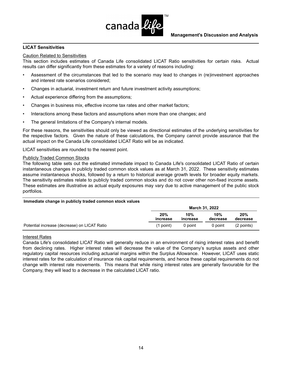

## **LICAT Sensitivities**

## Caution Related to Sensitivities

This section includes estimates of Canada Life consolidated LICAT Ratio sensitivities for certain risks. Actual results can differ significantly from these estimates for a variety of reasons including:

- Assessment of the circumstances that led to the scenario may lead to changes in (re)investment approaches and interest rate scenarios considered;
- Changes in actuarial, investment return and future investment activity assumptions;
- Actual experience differing from the assumptions;
- Changes in business mix, effective income tax rates and other market factors;
- Interactions among these factors and assumptions when more than one changes; and
- The general limitations of the Company's internal models.

For these reasons, the sensitivities should only be viewed as directional estimates of the underlying sensitivities for the respective factors. Given the nature of these calculations, the Company cannot provide assurance that the actual impact on the Canada Life consolidated LICAT Ratio will be as indicated.

LICAT sensitivities are rounded to the nearest point.

#### Publicly Traded Common Stocks

The following table sets out the estimated immediate impact to Canada Life's consolidated LICAT Ratio of certain instantaneous changes in publicly traded common stock values as at March 31, 2022. These sensitivity estimates assume instantaneous shocks, followed by a return to historical average growth levels for broader equity markets. The sensitivity estimates relate to publicly traded common stocks and do not cover other non-fixed income assets. These estimates are illustrative as actual equity exposures may vary due to active management of the public stock portfolios.

| Immediate change in publicly traded common stock values |                       |                 |                 |                 |  |  |  |
|---------------------------------------------------------|-----------------------|-----------------|-----------------|-----------------|--|--|--|
|                                                         | <b>March 31, 2022</b> |                 |                 |                 |  |  |  |
|                                                         | 20%<br>increase       | 10%<br>increase | 10%<br>decrease | 20%<br>decrease |  |  |  |
| Potential increase (decrease) on LICAT Ratio            | (1 point)             | 0 point         | 0 point         | (2 points)      |  |  |  |

## Interest Rates

Canada Life's consolidated LICAT Ratio will generally reduce in an environment of rising interest rates and benefit from declining rates. Higher interest rates will decrease the value of the Company's surplus assets and other regulatory capital resources including actuarial margins within the Surplus Allowance. However, LICAT uses static interest rates for the calculation of insurance risk capital requirements, and hence these capital requirements do not change with interest rate movements. This means that while rising interest rates are generally favourable for the Company, they will lead to a decrease in the calculated LICAT ratio.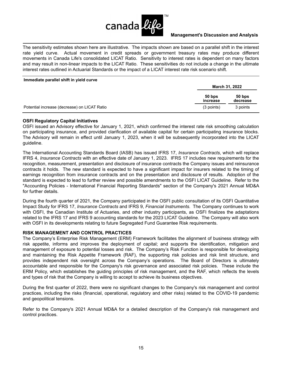

The sensitivity estimates shown here are illustrative. The impacts shown are based on a parallel shift in the interest rate yield curve. Actual movement in credit spreads or government treasury rates may produce different movements in Canada Life's consolidated LICAT Ratio. Sensitivity to interest rates is dependent on many factors and may result in non-linear impacts to the LICAT Ratio. These sensitivities do not include a change in the ultimate interest rates outlined in Actuarial Standards or the impact of a LICAT interest rate risk scenario shift.

#### **Immediate parallel shift in yield curve**

|                                              | March 31, 2022       |                    |
|----------------------------------------------|----------------------|--------------------|
|                                              | $50$ bps<br>increase | 50 bps<br>decrease |
| Potential increase (decrease) on LICAT Ratio | $(3$ points)         | 3 points           |

#### **OSFI Regulatory Capital Initiatives**

OSFI issued an Advisory effective for January 1, 2021, which confirmed the interest rate risk smoothing calculation on participating insurance, and provided clarification of available capital for certain participating insurance blocks. The Advisory will remain in effect until January 1, 2023, when it will be subsequently incorporated into the LICAT guideline.

The International Accounting Standards Board (IASB) has issued IFRS 17, *Insurance Contracts*, which will replace IFRS 4, *Insurance Contracts* with an effective date of January 1, 2023. IFRS 17 includes new requirements for the recognition, measurement, presentation and disclosure of insurance contracts the Company issues and reinsurance contracts it holds. The new standard is expected to have a significant impact for insurers related to the timing of earnings recognition from insurance contracts and on the presentation and disclosure of results. Adoption of the standard is expected to lead to further review and possible amendments to the OSFI LICAT Guideline. Refer to the "Accounting Policies - International Financial Reporting Standards" section of the Company's 2021 Annual MD&A for further details.

During the fourth quarter of 2021, the Company participated in the OSFI public consultation of its OSFI Quantitative Impact Study for IFRS 17, *Insurance Contracts* and IFRS 9, *Financial Instruments*. The Company continues to work with OSFI, the Canadian Institute of Actuaries, and other industry participants, as OSFI finalizes the adaptations related to the IFRS 17 and IFRS 9 accounting standards for the 2023 LICAT Guideline. The Company will also work with OSFI in its developments relating to future Segregated Fund Guarantee Risk requirements.

#### **RISK MANAGEMENT AND CONTROL PRACTICES**

The Company's Enterprise Risk Management (ERM) Framework facilitates the alignment of business strategy with risk appetite, informs and improves the deployment of capital; and supports the identification, mitigation and management of exposure to potential losses and risk. The Company's Risk Function is responsible for developing and maintaining the Risk Appetite Framework (RAF), the supporting risk policies and risk limit structure, and provides independent risk oversight across the Company's operations. The Board of Directors is ultimately accountable and responsible for the Company's risk governance and associated risk policies. These include the ERM Policy, which establishes the guiding principles of risk management, and the RAF, which reflects the levels and types of risk that the Company is willing to accept to achieve its business objectives.

During the first quarter of 2022, there were no significant changes to the Company's risk management and control practices, including the risks (financial, operational, regulatory and other risks) related to the COVID-19 pandemic and geopolitical tensions.

Refer to the Company's 2021 Annual MD&A for a detailed description of the Company's risk management and control practices.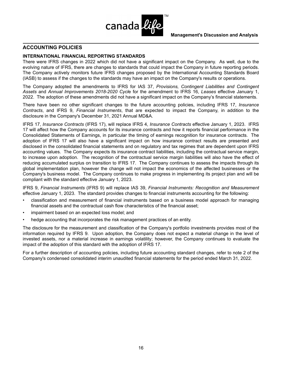

## **ACCOUNTING POLICIES**

## **INTERNATIONAL FINANCIAL REPORTING STANDARDS**

There were IFRS changes in 2022 which did not have a significant impact on the Company. As well, due to the evolving nature of IFRS, there are changes to standards that could impact the Company in future reporting periods. The Company actively monitors future IFRS changes proposed by the International Accounting Standards Board (IASB) to assess if the changes to the standards may have an impact on the Company's results or operations.

The Company adopted the amendments to IFRS for IAS 37, *Provisions, Contingent Liabilities and Contingent Assets* and *Annual Improvements 2018-2020 Cycl*e for the amendment to IFRS 16, *Leases* effective January 1, 2022. The adoption of these amendments did not have a significant impact on the Company's financial statements.

There have been no other significant changes to the future accounting policies, including IFRS 17, *Insurance Contracts*, and IFRS 9, *Financial Instruments*, that are expected to impact the Company, in addition to the disclosure in the Company's December 31, 2021 Annual MD&A.

IFRS 17, *Insurance Contracts* (IFRS 17), will replace IFRS 4, *Insurance Contracts* effective January 1, 2023. IFRS 17 will affect how the Company accounts for its insurance contracts and how it reports financial performance in the Consolidated Statements of Earnings, in particular the timing of earnings recognition for insurance contracts. The adoption of IFRS 17 will also have a significant impact on how insurance contract results are presented and disclosed in the consolidated financial statements and on regulatory and tax regimes that are dependent upon IFRS accounting values. The Company expects its insurance contract liabilities, including the contractual service margin, to increase upon adoption. The recognition of the contractual service margin liabilities will also have the effect of reducing accumulated surplus on transition to IFRS 17. The Company continues to assess the impacts through its global implementation plan, however the change will not impact the economics of the affected businesses or the Company's business model. The Company continues to make progress in implementing its project plan and will be compliant with the standard effective January 1, 2023.

IFRS 9, *Financial Instruments* (IFRS 9) will replace IAS 39, *Financial Instruments: Recognition and Measurement*  effective January 1, 2023. The standard provides changes to financial instruments accounting for the following:

- classification and measurement of financial instruments based on a business model approach for managing financial assets and the contractual cash flow characteristics of the financial asset;
- impairment based on an expected loss model; and
- hedge accounting that incorporates the risk management practices of an entity.

The disclosure for the measurement and classification of the Company's portfolio investments provides most of the information required by IFRS 9. Upon adoption, the Company does not expect a material change in the level of invested assets, nor a material increase in earnings volatility; however, the Company continues to evaluate the impact of the adoption of this standard with the adoption of IFRS 17.

For a further description of accounting policies, including future accounting standard changes, refer to note 2 of the Company's condensed consolidated interim unaudited financial statements for the period ended March 31, 2022.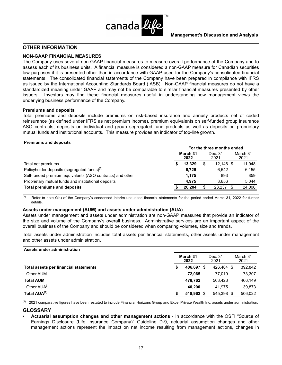

## **OTHER INFORMATION**

#### **NON-GAAP FINANCIAL MEASURES**

The Company uses several non-GAAP financial measures to measure overall performance of the Company and to assess each of its business units. A financial measure is considered a non-GAAP measure for Canadian securities law purposes if it is presented other than in accordance with GAAP used for the Company's consolidated financial statements. The consolidated financial statements of the Company have been prepared in compliance with IFRS as issued by the International Accounting Standards Board (IASB). Non-GAAP financial measures do not have a standardized meaning under GAAP and may not be comparable to similar financial measures presented by other issuers. Investors may find these financial measures useful in understanding how management views the underlying business performance of the Company.

#### **Premiums and deposits**

Total premiums and deposits include premiums on risk-based insurance and annuity products net of ceded reinsurance (as defined under IFRS as net premium income), premium equivalents on self-funded group insurance ASO contracts, deposits on individual and group segregated fund products as well as deposits on proprietary mutual funds and institutional accounts. This measure provides an indicator of top-line growth.

| <b>Premiums and deposits</b>                              |                            |                 |                  |  |  |  |  |  |  |
|-----------------------------------------------------------|----------------------------|-----------------|------------------|--|--|--|--|--|--|
|                                                           | For the three months ended |                 |                  |  |  |  |  |  |  |
| March 31<br>2022                                          |                            | Dec. 31<br>2021 | March 31<br>2021 |  |  |  |  |  |  |
| Total net premiums                                        | 13.329<br>S                | $12.146$ \$     | 11,948           |  |  |  |  |  |  |
| Policyholder deposits (segregated funds) <sup>(1)</sup>   | 6.725                      | 6.542           | 6,155            |  |  |  |  |  |  |
| Self-funded premium equivalents (ASO contracts) and other | 1.175                      | 893             | 859              |  |  |  |  |  |  |
| Proprietary mutual funds and institutional deposits       | 4.975                      | 3.656           | 5,044            |  |  |  |  |  |  |
| <b>Total premiums and deposits</b>                        | 26.204                     | 23.237          | 24,006           |  |  |  |  |  |  |

 $(1)$  Refer to note 9(b) of the Company's condensed interim unaudited financial statements for the period ended March 31, 2022 for further details.

#### **Assets under management (AUM) and assets under administration (AUA)**

Assets under management and assets under administration are non-GAAP measures that provide an indicator of the size and volume of the Company's overall business. Administrative services are an important aspect of the overall business of the Company and should be considered when comparing volumes, size and trends.

Total assets under administration includes total assets per financial statements, other assets under management and other assets under administration.

| <b>Assets under administration</b>    |                  |            |      |                 |  |                  |  |
|---------------------------------------|------------------|------------|------|-----------------|--|------------------|--|
|                                       | March 31<br>2022 |            |      | Dec. 31<br>2021 |  | March 31<br>2021 |  |
| Total assets per financial statements | S                | 406.697    | - \$ | 426.404 \$      |  | 392,842          |  |
| Other AUM                             |                  | 72.065     |      | 77.019          |  | 73,307           |  |
| <b>Total AUM</b>                      |                  | 478.762    |      | 503.423         |  | 466,149          |  |
| Other AUA <sup>(1)</sup>              |                  | 40.200     |      | 41.975          |  | 39,873           |  |
| Total AUA <sup>(1)</sup>              |                  | 518,962 \$ |      | 545,398 \$      |  | 506,022          |  |

 $(1)$  2021 comparative figures have been restated to include Financial Horizons Group and Excel Private Wealth Inc. assets under administration.

#### **GLOSSARY**

• **Actuarial assumption changes and other management actions** - In accordance with the OSFI "Source of Earnings Disclosure (Life Insurance Company)" Guideline D-9, actuarial assumption changes and other management actions represent the impact on net income resulting from management actions, changes in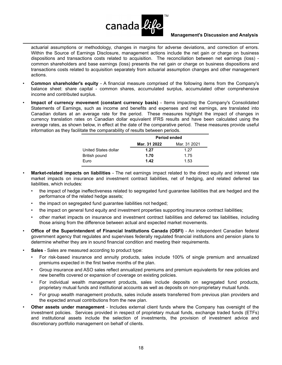

actuarial assumptions or methodology, changes in margins for adverse deviations, and correction of errors. Within the Source of Earnings Disclosure, management actions include the net gain or charge on business dispositions and transactions costs related to acquisition. The reconciliation between net earnings (loss) common shareholders and base earnings (loss) presents the net gain or charge on business dispositions and transactions costs related to acquisition separately from actuarial assumption changes and other management actions.

- **Common shareholder's equity** A financial measure comprised of the following items from the Company's balance sheet: share capital - common shares, accumulated surplus, accumulated other comprehensive income and contributed surplus.
- **Impact of currency movement (constant currency basis)**  Items impacting the Company's Consolidated Statements of Earnings, such as income and benefits and expenses and net earnings, are translated into Canadian dollars at an average rate for the period. These measures highlight the impact of changes in currency translation rates on Canadian dollar equivalent IFRS results and have been calculated using the average rates, as shown below, in effect at the date of the comparative period. These measures provide useful information as they facilitate the comparability of results between periods.

|                      | <b>Period ended</b> |      |  |  |  |  |  |
|----------------------|---------------------|------|--|--|--|--|--|
|                      | Mar. 31 2021        |      |  |  |  |  |  |
| United States dollar | 1.27                | 1 27 |  |  |  |  |  |
| British pound        | 1.70                | 1.75 |  |  |  |  |  |
| Euro                 | 1.42                | 1.53 |  |  |  |  |  |

- **Market-related impacts on liabilities** The net earnings impact related to the direct equity and interest rate market impacts on insurance and investment contract liabilities, net of hedging, and related deferred tax liabilities, which includes:
	- the impact of hedge ineffectiveness related to segregated fund guarantee liabilities that are hedged and the performance of the related hedge assets;
	- the impact on segregated fund guarantee liabilities not hedged;
	- the impact on general fund equity and investment properties supporting insurance contract liabilities;
	- other market impacts on insurance and investment contract liabilities and deferred tax liabilities, including those arising from the difference between actual and expected market movements.
- **Office of the Superintendent of Financial Institutions Canada (OSFI)** An independent Canadian federal government agency that regulates and supervises federally regulated financial institutions and pension plans to determine whether they are in sound financial condition and meeting their requirements.
- **Sales** Sales are measured according to product type:
	- For risk-based insurance and annuity products, sales include 100% of single premium and annualized premiums expected in the first twelve months of the plan.
	- Group insurance and ASO sales reflect annualized premiums and premium equivalents for new policies and new benefits covered or expansion of coverage on existing policies.
	- For individual wealth management products, sales include deposits on segregated fund products, proprietary mutual funds and institutional accounts as well as deposits on non-proprietary mutual funds.
	- For group wealth management products, sales include assets transferred from previous plan providers and the expected annual contributions from the new plan.
- **Other assets under management**  Includes external client funds where the Company has oversight of the investment policies. Services provided in respect of proprietary mutual funds, exchange traded funds (ETFs) and institutional assets include the selection of investments, the provision of investment advice and discretionary portfolio management on behalf of clients.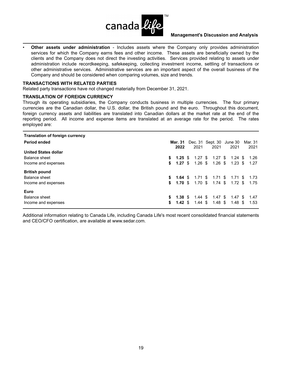

• **Other assets under administration** - Includes assets where the Company only provides administration services for which the Company earns fees and other income. These assets are beneficially owned by the clients and the Company does not direct the investing activities. Services provided relating to assets under administration include recordkeeping, safekeeping, collecting investment income, settling of transactions or other administrative services. Administrative services are an important aspect of the overall business of the Company and should be considered when comparing volumes, size and trends.

#### **TRANSACTIONS WITH RELATED PARTIES**

Related party transactions have not changed materially from December 31, 2021.

#### **TRANSLATION OF FOREIGN CURRENCY**

Through its operating subsidiaries, the Company conducts business in multiple currencies. The four primary currencies are the Canadian dollar, the U.S. dollar, the British pound and the euro. Throughout this document, foreign currency assets and liabilities are translated into Canadian dollars at the market rate at the end of the reporting period. All income and expense items are translated at an average rate for the period. The rates employed are:

| Translation of foreign currency |    |                              |                   |                          |                 |                 |
|---------------------------------|----|------------------------------|-------------------|--------------------------|-----------------|-----------------|
| Period ended                    |    | Mar. 31<br>2022              | 2021              | Dec. 31 Sept. 30<br>2021 | June 30<br>2021 | Mar. 31<br>2021 |
| <b>United States dollar</b>     |    |                              |                   |                          |                 |                 |
| Balance sheet                   | \$ | $1.25$ \$                    | $1.27$ \$         | $1.27$ \$                | 1.24 S          | 1.26            |
| Income and expenses             | \$ | $1.27 \text{ } $$            | 1.26 \$           |                          | 1.26 \$ 1.23 \$ | 1.27            |
| <b>British pound</b>            |    |                              |                   |                          |                 |                 |
| Balance sheet                   | \$ | $1.64 \text{ } $$            | 1.71 \$           |                          | 1.71 \$ 1.71 \$ | 1.73            |
| Income and expenses             | \$ | $1.70 \text{ }$ \$           |                   | 1.70 \$ 1.74 \$ 1.72 \$  |                 | 1.75            |
| Euro                            |    |                              |                   |                          |                 |                 |
| Balance sheet                   | s. | $1.38 \text{ } \text{ }^{s}$ | 1.44 \$           |                          | 1.47 \$ 1.47 \$ | 1.47            |
| Income and expenses             | S  | $1.42 \text{ } $s$           | $1.44 \text{ } $$ | 1.48 \$                  | 1.48 \$         | 1.53            |

Additional information relating to Canada Life, including Canada Life's most recent consolidated financial statements and CEO/CFO certification, are available at www.sedar.com.